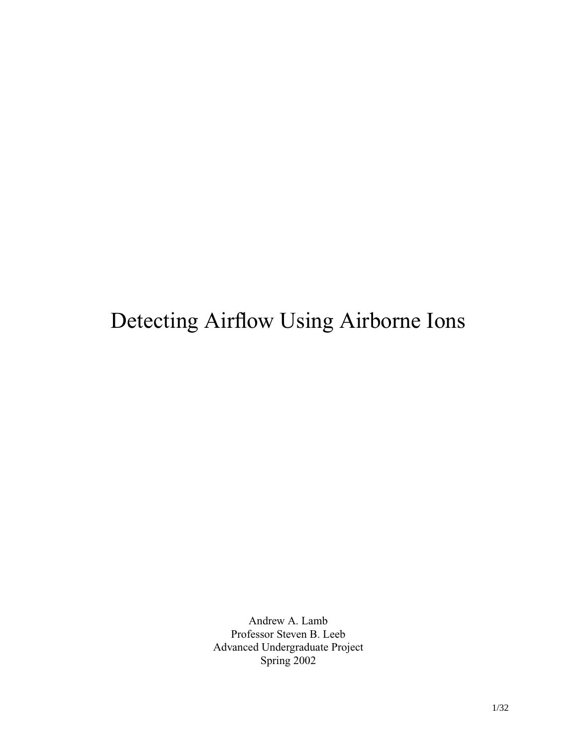# Detecting Airflow Using Airborne Ions

Andrew A. Lamb Professor Steven B. Leeb Advanced Undergraduate Project Spring 2002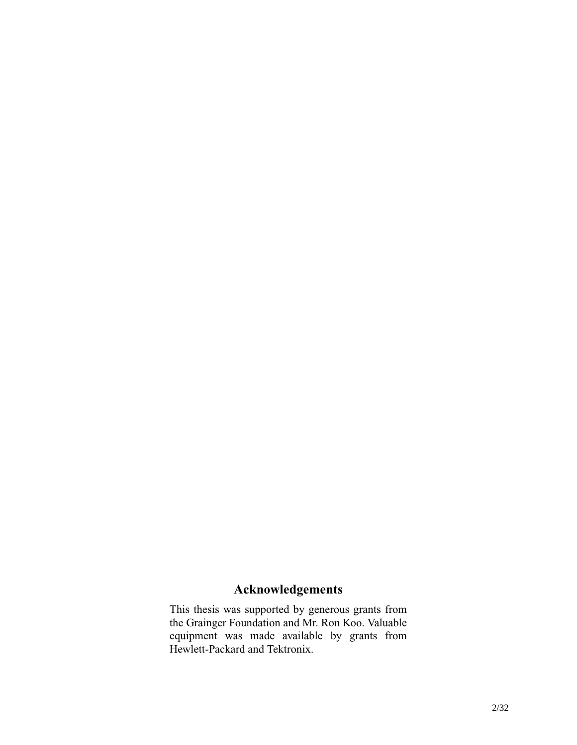# **Acknowledgements**

This thesis was supported by generous grants from the Grainger Foundation and Mr. Ron Koo. Valuable equipment was made available by grants from Hewlett-Packard and Tektronix.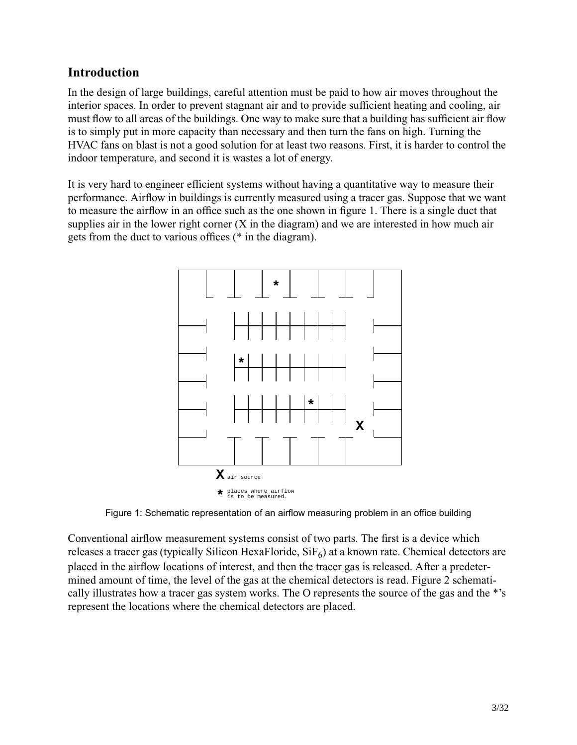# **Introduction**

In the design of large buildings, careful attention must be paid to how air moves throughout the interior spaces. In order to prevent stagnant air and to provide sufficient heating and cooling, air must flow to all areas of the buildings. One way to make sure that a building has sufficient air flow is to simply put in more capacity than necessary and then turn the fans on high. Turning the HVAC fans on blast is not a good solution for at least two reasons. First, it is harder to control the indoor temperature, and second it is wastes a lot of energy.

It is very hard to engineer efficient systems without having a quantitative way to measure their performance. Airflow in buildings is currently measured using a tracer gas. Suppose that we want to measure the airflow in an office such as the one shown in figure 1. There is a single duct that supplies air in the lower right corner (X in the diagram) and we are interested in how much air gets from the duct to various offices (\* in the diagram).



Figure 1: Schematic representation of an airflow measuring problem in an office building

Conventional airflow measurement systems consist of two parts. The first is a device which releases a tracer gas (typically Silicon HexaFloride,  $\text{SiF}_6$ ) at a known rate. Chemical detectors are placed in the airflow locations of interest, and then the tracer gas is released. After a predetermined amount of time, the level of the gas at the chemical detectors is read. Figure 2 schematically illustrates how a tracer gas system works. The O represents the source of the gas and the \*'s represent the locations where the chemical detectors are placed.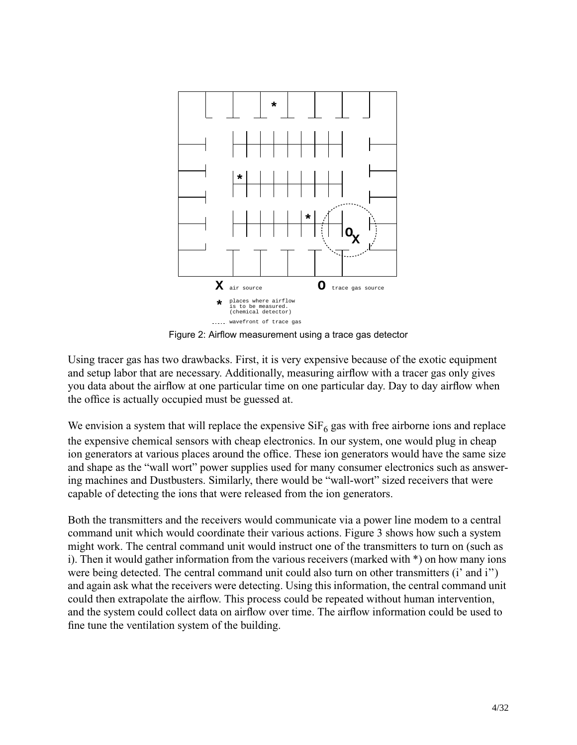

Figure 2: Airflow measurement using a trace gas detector

Using tracer gas has two drawbacks. First, it is very expensive because of the exotic equipment and setup labor that are necessary. Additionally, measuring airflow with a tracer gas only gives you data about the airflow at one particular time on one particular day. Day to day airflow when the office is actually occupied must be guessed at.

We envision a system that will replace the expensive  $\text{SiF}_6$  gas with free airborne ions and replace the expensive chemical sensors with cheap electronics. In our system, one would plug in cheap ion generators at various places around the office. These ion generators would have the same size and shape as the "wall wort" power supplies used for many consumer electronics such as answering machines and Dustbusters. Similarly, there would be "wall-wort" sized receivers that were capable of detecting the ions that were released from the ion generators.

Both the transmitters and the receivers would communicate via a power line modem to a central command unit which would coordinate their various actions. Figure 3 shows how such a system might work. The central command unit would instruct one of the transmitters to turn on (such as i). Then it would gather information from the various receivers (marked with \*) on how many ions were being detected. The central command unit could also turn on other transmitters (i' and i'') and again ask what the receivers were detecting. Using this information, the central command unit could then extrapolate the airflow. This process could be repeated without human intervention, and the system could collect data on airflow over time. The airflow information could be used to fine tune the ventilation system of the building.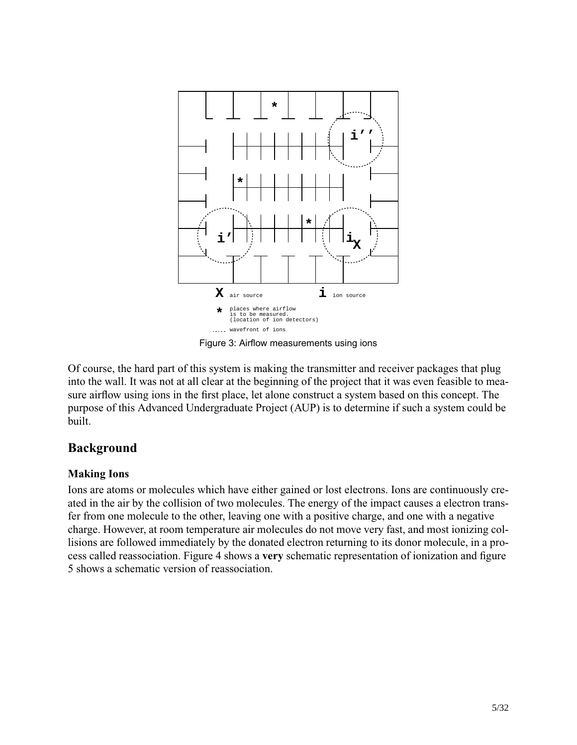

Figure 3: Airflow measurements using ions

Of course, the hard part of this system is making the transmitter and receiver packages that plug into the wall. It was not at all clear at the beginning of the project that it was even feasible to measure airflow using ions in the first place, let alone construct a system based on this concept. The purpose of this Advanced Undergraduate Project (AUP) is to determine if such a system could be built.

# **Background**

# **Making Ions**

Ions are atoms or molecules which have either gained or lost electrons. Ions are continuously created in the air by the collision of two molecules. The energy of the impact causes a electron transfer from one molecule to the other, leaving one with a positive charge, and one with a negative charge. However, at room temperature air molecules do not move very fast, and most ionizing collisions are followed immediately by the donated electron returning to its donor molecule, in a process called reassociation. Figure 4 shows a **very** schematic representation of ionization and figure 5 shows a schematic version of reassociation.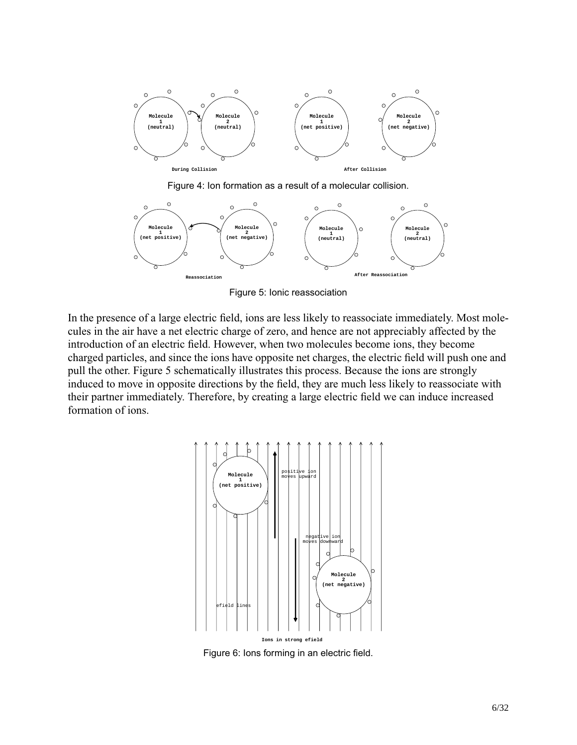

Figure 4: Ion formation as a result of a molecular collision.



Figure 5: Ionic reassociation

In the presence of a large electric field, ions are less likely to reassociate immediately. Most molecules in the air have a net electric charge of zero, and hence are not appreciably affected by the introduction of an electric field. However, when two molecules become ions, they become charged particles, and since the ions have opposite net charges, the electric field will push one and pull the other. Figure 5 schematically illustrates this process. Because the ions are strongly induced to move in opposite directions by the field, they are much less likely to reassociate with their partner immediately. Therefore, by creating a large electric field we can induce increased formation of ions.



Figure 6: Ions forming in an electric field.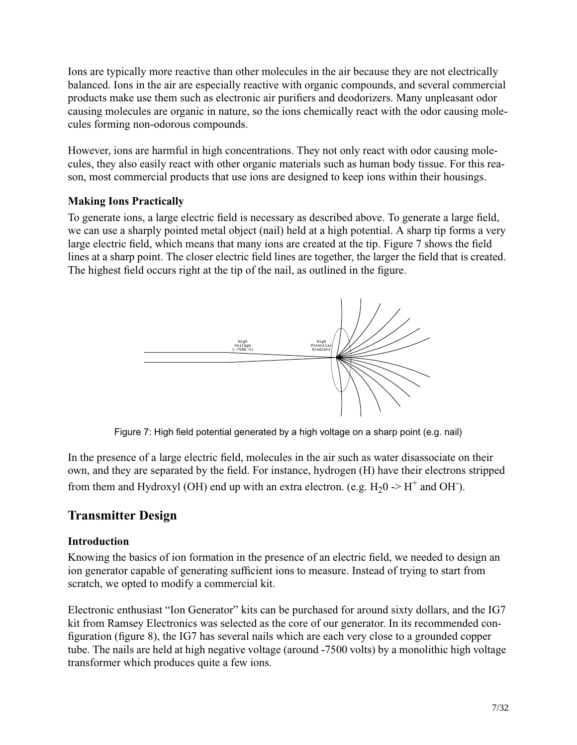Ions are typically more reactive than other molecules in the air because they are not electrically balanced. Ions in the air are especially reactive with organic compounds, and several commercial products make use them such as electronic air purifiers and deodorizers. Many unpleasant odor causing molecules are organic in nature, so the ions chemically react with the odor causing molecules forming non-odorous compounds.

However, ions are harmful in high concentrations. They not only react with odor causing molecules, they also easily react with other organic materials such as human body tissue. For this reason, most commercial products that use ions are designed to keep ions within their housings.

# **Making Ions Practically**

To generate ions, a large electric field is necessary as described above. To generate a large field, we can use a sharply pointed metal object (nail) held at a high potential. A sharp tip forms a very large electric field, which means that many ions are created at the tip. Figure 7 shows the field lines at a sharp point. The closer electric field lines are together, the larger the field that is created. The highest field occurs right at the tip of the nail, as outlined in the figure.



Figure 7: High field potential generated by a high voltage on a sharp point (e.g. nail)

In the presence of a large electric field, molecules in the air such as water disassociate on their own, and they are separated by the field. For instance, hydrogen (H) have their electrons stripped from them and Hydroxyl (OH) end up with an extra electron. (e.g.  $H_2O \rightarrow H^+$  and OH<sup>-</sup>).

# **Transmitter Design**

# **Introduction**

Knowing the basics of ion formation in the presence of an electric field, we needed to design an ion generator capable of generating sufficient ions to measure. Instead of trying to start from scratch, we opted to modify a commercial kit.

Electronic enthusiast "Ion Generator" kits can be purchased for around sixty dollars, and the IG7 kit from Ramsey Electronics was selected as the core of our generator. In its recommended configuration (figure 8), the IG7 has several nails which are each very close to a grounded copper tube. The nails are held at high negative voltage (around -7500 volts) by a monolithic high voltage transformer which produces quite a few ions.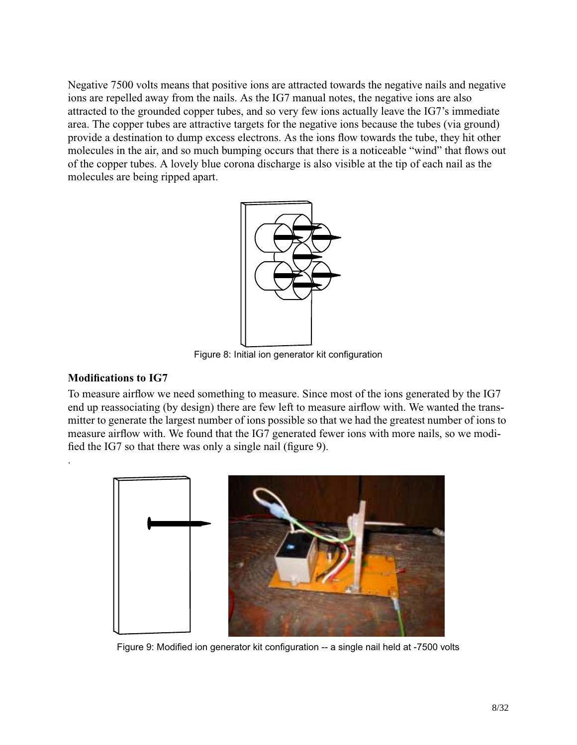Negative 7500 volts means that positive ions are attracted towards the negative nails and negative ions are repelled away from the nails. As the IG7 manual notes, the negative ions are also attracted to the grounded copper tubes, and so very few ions actually leave the IG7's immediate area. The copper tubes are attractive targets for the negative ions because the tubes (via ground) provide a destination to dump excess electrons. As the ions flow towards the tube, they hit other molecules in the air, and so much bumping occurs that there is a noticeable "wind" that flows out of the copper tubes. A lovely blue corona discharge is also visible at the tip of each nail as the molecules are being ripped apart.



Figure 8: Initial ion generator kit configuration

### **Modifications to IG7**

.

To measure airflow we need something to measure. Since most of the ions generated by the IG7 end up reassociating (by design) there are few left to measure airflow with. We wanted the transmitter to generate the largest number of ions possible so that we had the greatest number of ions to measure airflow with. We found that the IG7 generated fewer ions with more nails, so we modified the IG7 so that there was only a single nail (figure 9).



Figure 9: Modified ion generator kit configuration -- a single nail held at -7500 volts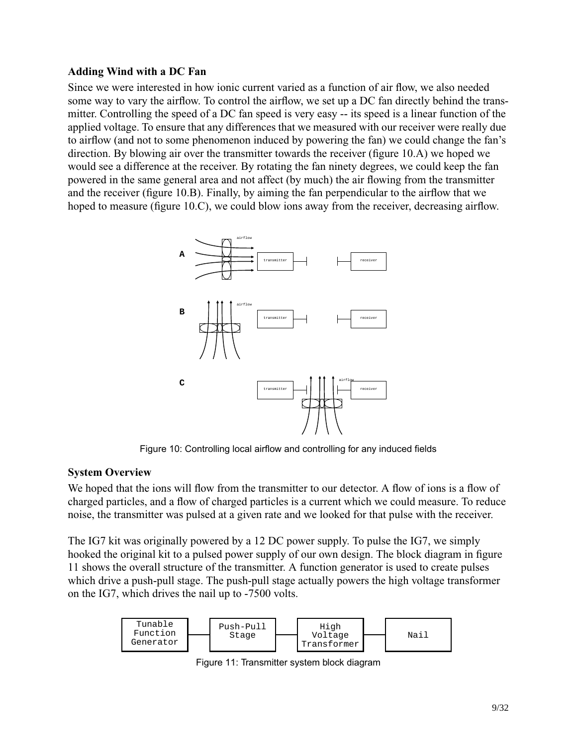### **Adding Wind with a DC Fan**

Since we were interested in how ionic current varied as a function of air flow, we also needed some way to vary the airflow. To control the airflow, we set up a DC fan directly behind the transmitter. Controlling the speed of a DC fan speed is very easy -- its speed is a linear function of the applied voltage. To ensure that any differences that we measured with our receiver were really due to airflow (and not to some phenomenon induced by powering the fan) we could change the fan's direction. By blowing air over the transmitter towards the receiver (figure 10.A) we hoped we would see a difference at the receiver. By rotating the fan ninety degrees, we could keep the fan powered in the same general area and not affect (by much) the air flowing from the transmitter and the receiver (figure 10.B). Finally, by aiming the fan perpendicular to the airflow that we hoped to measure (figure 10.C), we could blow ions away from the receiver, decreasing airflow.



Figure 10: Controlling local airflow and controlling for any induced fields

#### **System Overview**

We hoped that the ions will flow from the transmitter to our detector. A flow of ions is a flow of charged particles, and a flow of charged particles is a current which we could measure. To reduce noise, the transmitter was pulsed at a given rate and we looked for that pulse with the receiver.

The IG7 kit was originally powered by a 12 DC power supply. To pulse the IG7, we simply hooked the original kit to a pulsed power supply of our own design. The block diagram in figure 11 shows the overall structure of the transmitter. A function generator is used to create pulses which drive a push-pull stage. The push-pull stage actually powers the high voltage transformer on the IG7, which drives the nail up to -7500 volts.



Figure 11: Transmitter system block diagram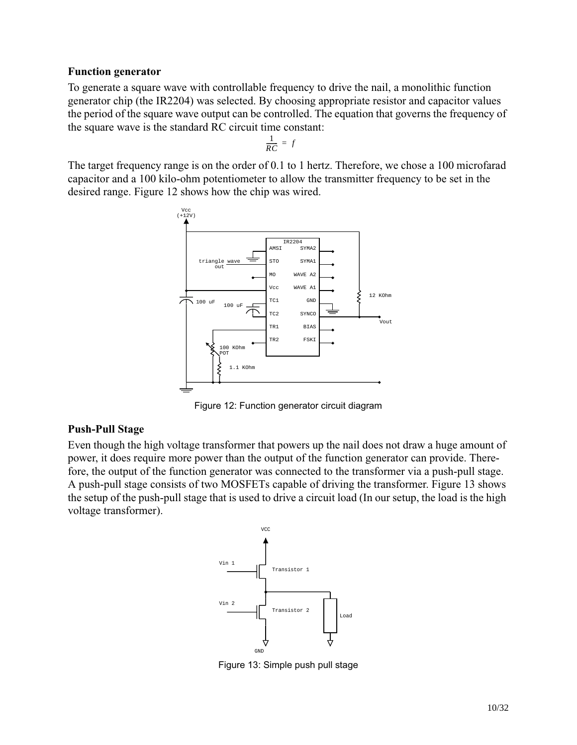#### **Function generator**

To generate a square wave with controllable frequency to drive the nail, a monolithic function generator chip (the IR2204) was selected. By choosing appropriate resistor and capacitor values the period of the square wave output can be controlled. The equation that governs the frequency of the square wave is the standard RC circuit time constant:

$$
\frac{1}{RC} = f
$$

The target frequency range is on the order of 0.1 to 1 hertz. Therefore, we chose a 100 microfarad capacitor and a 100 kilo-ohm potentiometer to allow the transmitter frequency to be set in the desired range. Figure 12 shows how the chip was wired.



Figure 12: Function generator circuit diagram

# **Push-Pull Stage**

Even though the high voltage transformer that powers up the nail does not draw a huge amount of power, it does require more power than the output of the function generator can provide. Therefore, the output of the function generator was connected to the transformer via a push-pull stage. A push-pull stage consists of two MOSFETs capable of driving the transformer. Figure 13 shows the setup of the push-pull stage that is used to drive a circuit load (In our setup, the load is the high voltage transformer).



Figure 13: Simple push pull stage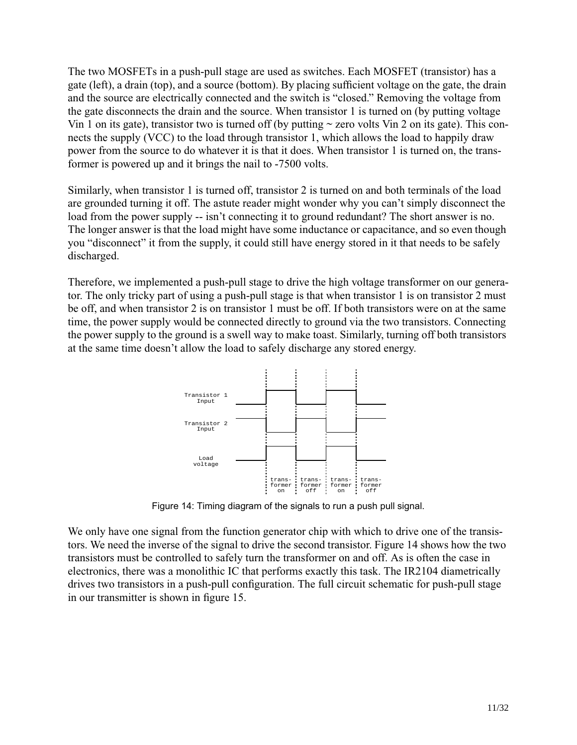The two MOSFETs in a push-pull stage are used as switches. Each MOSFET (transistor) has a gate (left), a drain (top), and a source (bottom). By placing sufficient voltage on the gate, the drain and the source are electrically connected and the switch is "closed." Removing the voltage from the gate disconnects the drain and the source. When transistor 1 is turned on (by putting voltage Vin 1 on its gate), transistor two is turned off (by putting  $\sim$  zero volts Vin 2 on its gate). This connects the supply (VCC) to the load through transistor 1, which allows the load to happily draw power from the source to do whatever it is that it does. When transistor 1 is turned on, the transformer is powered up and it brings the nail to -7500 volts.

Similarly, when transistor 1 is turned off, transistor 2 is turned on and both terminals of the load are grounded turning it off. The astute reader might wonder why you can't simply disconnect the load from the power supply -- isn't connecting it to ground redundant? The short answer is no. The longer answer is that the load might have some inductance or capacitance, and so even though you "disconnect" it from the supply, it could still have energy stored in it that needs to be safely discharged.

Therefore, we implemented a push-pull stage to drive the high voltage transformer on our generator. The only tricky part of using a push-pull stage is that when transistor 1 is on transistor 2 must be off, and when transistor 2 is on transistor 1 must be off. If both transistors were on at the same time, the power supply would be connected directly to ground via the two transistors. Connecting the power supply to the ground is a swell way to make toast. Similarly, turning off both transistors at the same time doesn't allow the load to safely discharge any stored energy.



Figure 14: Timing diagram of the signals to run a push pull signal.

We only have one signal from the function generator chip with which to drive one of the transistors. We need the inverse of the signal to drive the second transistor. Figure 14 shows how the two transistors must be controlled to safely turn the transformer on and off. As is often the case in electronics, there was a monolithic IC that performs exactly this task. The IR2104 diametrically drives two transistors in a push-pull configuration. The full circuit schematic for push-pull stage in our transmitter is shown in figure 15.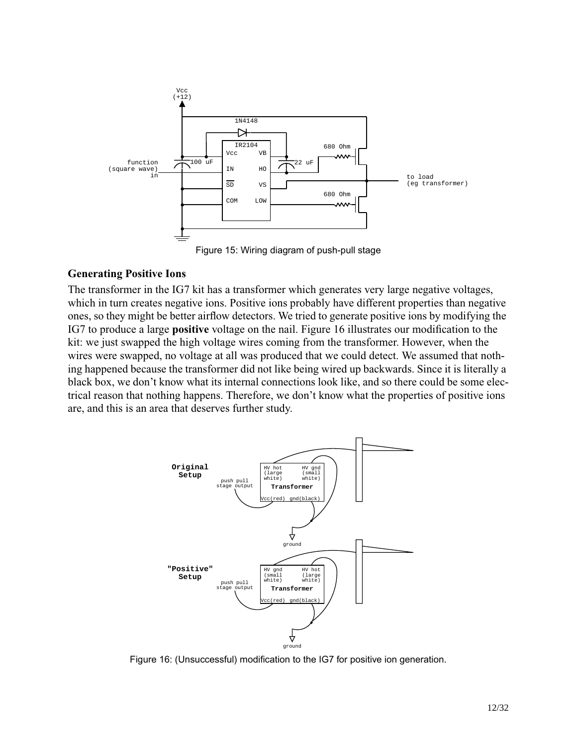

Figure 15: Wiring diagram of push-pull stage

#### **Generating Positive Ions**

The transformer in the IG7 kit has a transformer which generates very large negative voltages, which in turn creates negative ions. Positive ions probably have different properties than negative ones, so they might be better airflow detectors. We tried to generate positive ions by modifying the IG7 to produce a large **positive** voltage on the nail. Figure 16 illustrates our modification to the kit: we just swapped the high voltage wires coming from the transformer. However, when the wires were swapped, no voltage at all was produced that we could detect. We assumed that nothing happened because the transformer did not like being wired up backwards. Since it is literally a black box, we don't know what its internal connections look like, and so there could be some electrical reason that nothing happens. Therefore, we don't know what the properties of positive ions are, and this is an area that deserves further study.



Figure 16: (Unsuccessful) modification to the IG7 for positive ion generation.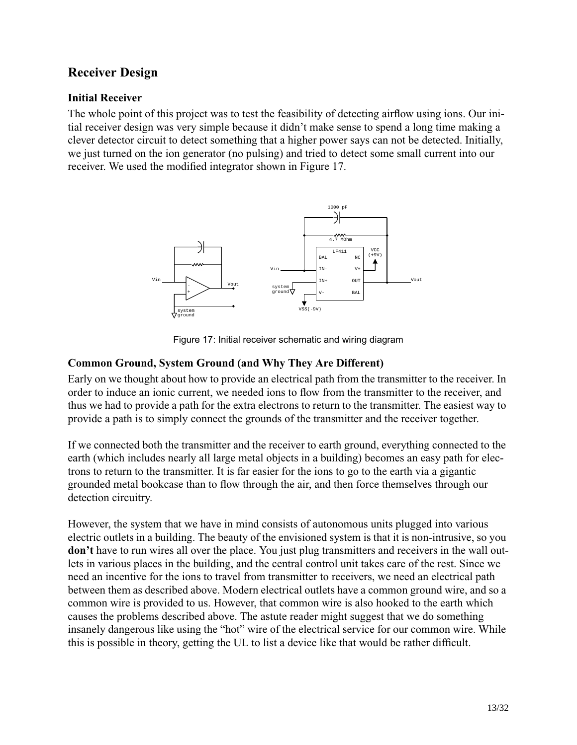# **Receiver Design**

# **Initial Receiver**

The whole point of this project was to test the feasibility of detecting airflow using ions. Our initial receiver design was very simple because it didn't make sense to spend a long time making a clever detector circuit to detect something that a higher power says can not be detected. Initially, we just turned on the ion generator (no pulsing) and tried to detect some small current into our receiver. We used the modified integrator shown in Figure 17.



Figure 17: Initial receiver schematic and wiring diagram

# **Common Ground, System Ground (and Why They Are Different)**

Early on we thought about how to provide an electrical path from the transmitter to the receiver. In order to induce an ionic current, we needed ions to flow from the transmitter to the receiver, and thus we had to provide a path for the extra electrons to return to the transmitter. The easiest way to provide a path is to simply connect the grounds of the transmitter and the receiver together.

If we connected both the transmitter and the receiver to earth ground, everything connected to the earth (which includes nearly all large metal objects in a building) becomes an easy path for electrons to return to the transmitter. It is far easier for the ions to go to the earth via a gigantic grounded metal bookcase than to flow through the air, and then force themselves through our detection circuitry.

However, the system that we have in mind consists of autonomous units plugged into various electric outlets in a building. The beauty of the envisioned system is that it is non-intrusive, so you **don't** have to run wires all over the place. You just plug transmitters and receivers in the wall outlets in various places in the building, and the central control unit takes care of the rest. Since we need an incentive for the ions to travel from transmitter to receivers, we need an electrical path between them as described above. Modern electrical outlets have a common ground wire, and so a common wire is provided to us. However, that common wire is also hooked to the earth which causes the problems described above. The astute reader might suggest that we do something insanely dangerous like using the "hot" wire of the electrical service for our common wire. While this is possible in theory, getting the UL to list a device like that would be rather difficult.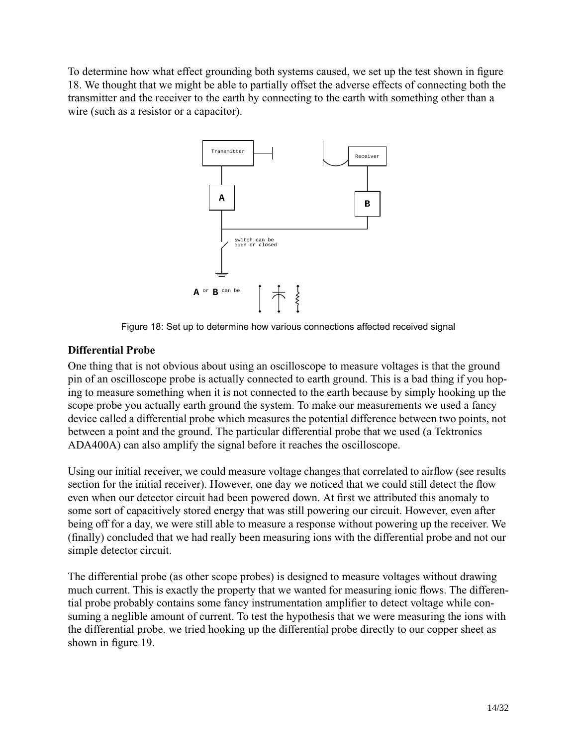To determine how what effect grounding both systems caused, we set up the test shown in figure 18. We thought that we might be able to partially offset the adverse effects of connecting both the transmitter and the receiver to the earth by connecting to the earth with something other than a wire (such as a resistor or a capacitor).



Figure 18: Set up to determine how various connections affected received signal

#### **Differential Probe**

One thing that is not obvious about using an oscilloscope to measure voltages is that the ground pin of an oscilloscope probe is actually connected to earth ground. This is a bad thing if you hoping to measure something when it is not connected to the earth because by simply hooking up the scope probe you actually earth ground the system. To make our measurements we used a fancy device called a differential probe which measures the potential difference between two points, not between a point and the ground. The particular differential probe that we used (a Tektronics ADA400A) can also amplify the signal before it reaches the oscilloscope.

Using our initial receiver, we could measure voltage changes that correlated to airflow (see results section for the initial receiver). However, one day we noticed that we could still detect the flow even when our detector circuit had been powered down. At first we attributed this anomaly to some sort of capacitively stored energy that was still powering our circuit. However, even after being off for a day, we were still able to measure a response without powering up the receiver. We (finally) concluded that we had really been measuring ions with the differential probe and not our simple detector circuit.

The differential probe (as other scope probes) is designed to measure voltages without drawing much current. This is exactly the property that we wanted for measuring ionic flows. The differential probe probably contains some fancy instrumentation amplifier to detect voltage while consuming a neglible amount of current. To test the hypothesis that we were measuring the ions with the differential probe, we tried hooking up the differential probe directly to our copper sheet as shown in figure 19.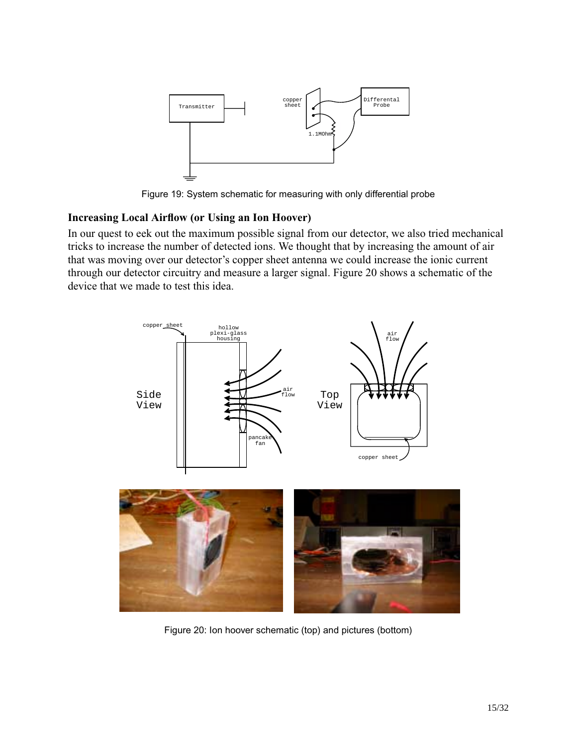

Figure 19: System schematic for measuring with only differential probe

# **Increasing Local Airflow (or Using an Ion Hoover)**

In our quest to eek out the maximum possible signal from our detector, we also tried mechanical tricks to increase the number of detected ions. We thought that by increasing the amount of air that was moving over our detector's copper sheet antenna we could increase the ionic current through our detector circuitry and measure a larger signal. Figure 20 shows a schematic of the device that we made to test this idea.



Figure 20: Ion hoover schematic (top) and pictures (bottom)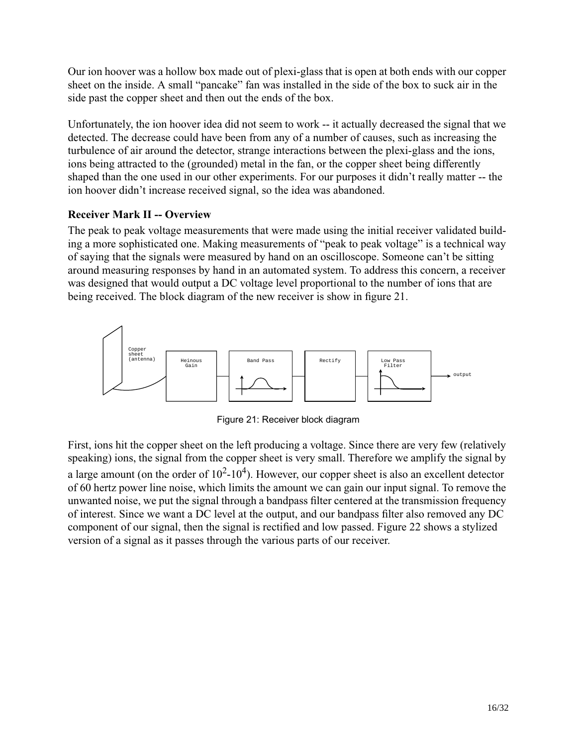Our ion hoover was a hollow box made out of plexi-glass that is open at both ends with our copper sheet on the inside. A small "pancake" fan was installed in the side of the box to suck air in the side past the copper sheet and then out the ends of the box.

Unfortunately, the ion hoover idea did not seem to work -- it actually decreased the signal that we detected. The decrease could have been from any of a number of causes, such as increasing the turbulence of air around the detector, strange interactions between the plexi-glass and the ions, ions being attracted to the (grounded) metal in the fan, or the copper sheet being differently shaped than the one used in our other experiments. For our purposes it didn't really matter -- the ion hoover didn't increase received signal, so the idea was abandoned.

#### **Receiver Mark II -- Overview**

The peak to peak voltage measurements that were made using the initial receiver validated building a more sophisticated one. Making measurements of "peak to peak voltage" is a technical way of saying that the signals were measured by hand on an oscilloscope. Someone can't be sitting around measuring responses by hand in an automated system. To address this concern, a receiver was designed that would output a DC voltage level proportional to the number of ions that are being received. The block diagram of the new receiver is show in figure 21.



Figure 21: Receiver block diagram

First, ions hit the copper sheet on the left producing a voltage. Since there are very few (relatively speaking) ions, the signal from the copper sheet is very small. Therefore we amplify the signal by a large amount (on the order of  $10^2$ - $10^4$ ). However, our copper sheet is also an excellent detector of 60hertz power line noise, which limits the amount we can gain our input signal. To remove the unwanted noise, we put the signal through a bandpass filter centered at the transmission frequency of interest. Since we want a DC level at the output, and our bandpass filter also removed any DC component of our signal, then the signal is rectified and low passed. Figure 22 shows a stylized version of a signal as it passes through the various parts of our receiver.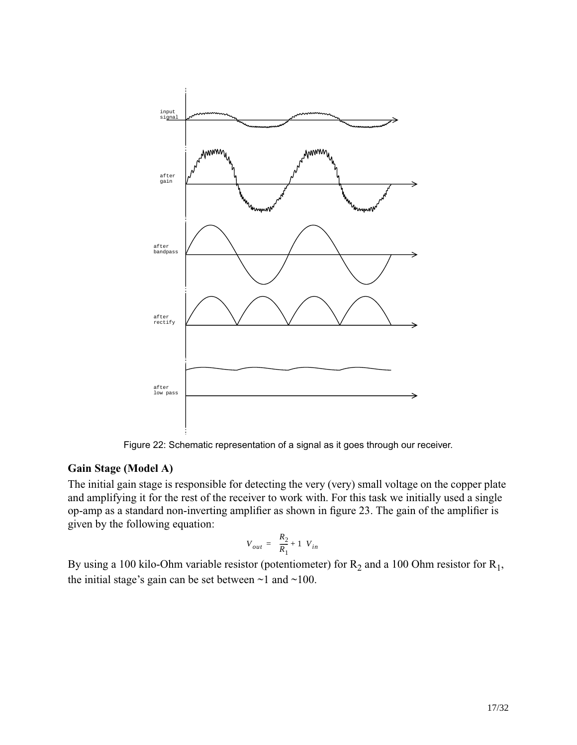

Figure 22: Schematic representation of a signal as it goes through our receiver.

# **Gain Stage (Model A)**

The initial gain stage is responsible for detecting the very (very) small voltage on the copper plate and amplifying it for the rest of the receiver to work with. For this task we initially used a single op-amp as a standard non-inverting amplifier as shown in figure 23. The gain of the amplifier is given by the following equation:

$$
V_{out}=\bigg(\frac{R_2}{R_1}+1\bigg)V_{in}
$$

By using a 100 kilo-Ohm variable resistor (potentiometer) for  $R_2$  and a 100 Ohm resistor for  $R_1$ , the initial stage's gain can be set between  $\sim$ 1 and  $\sim$ 100.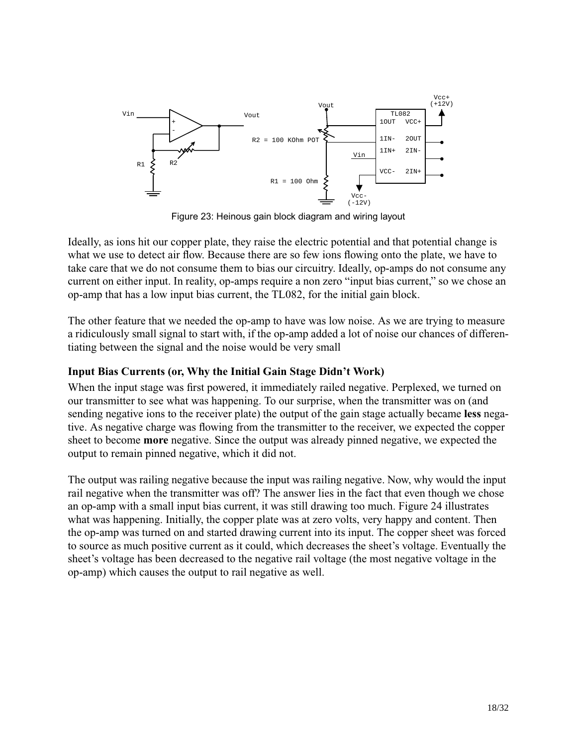

Figure 23: Heinous gain block diagram and wiring layout

Ideally, as ions hit our copper plate, they raise the electric potential and that potential change is what we use to detect air flow. Because there are so few ions flowing onto the plate, we have to take care that we do not consume them to bias our circuitry. Ideally, op-amps do not consume any current on either input. In reality, op-amps require a non zero "input bias current," so we chose an op-amp that has a low input bias current, the TL082, for the initial gain block.

The other feature that we needed the op-amp to have was low noise. As we are trying to measure a ridiculously small signal to start with, if the op-amp added a lot of noise our chances of differentiating between the signal and the noise would be very small

#### **Input Bias Currents (or, Why the Initial Gain Stage Didn't Work)**

When the input stage was first powered, it immediately railed negative. Perplexed, we turned on our transmitter to see what was happening. To our surprise, when the transmitter was on (and sending negative ions to the receiver plate) the output of the gain stage actually became **less** negative. As negative charge was flowing from the transmitter to the receiver, we expected the copper sheet to become **more** negative. Since the output was already pinned negative, we expected the output to remain pinned negative, which it did not.

The output was railing negative because the input was railing negative. Now, why would the input rail negative when the transmitter was off? The answer lies in the fact that even though we chose an op-amp with a small input bias current, it was still drawing too much. Figure 24 illustrates what was happening. Initially, the copper plate was at zero volts, very happy and content. Then the op-amp was turned on and started drawing current into its input. The copper sheet was forced to source as much positive current as it could, which decreases the sheet's voltage. Eventually the sheet's voltage has been decreased to the negative rail voltage (the most negative voltage in the op-amp) which causes the output to rail negative as well.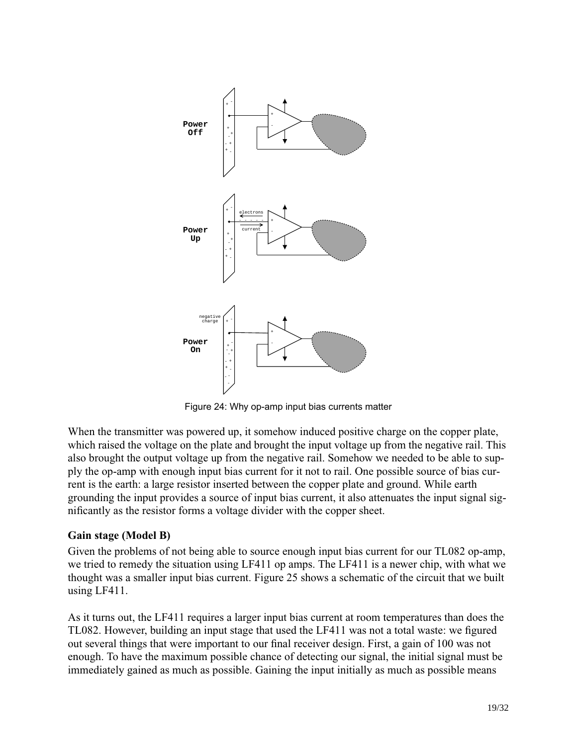

Figure 24: Why op-amp input bias currents matter

When the transmitter was powered up, it somehow induced positive charge on the copper plate, which raised the voltage on the plate and brought the input voltage up from the negative rail. This also brought the output voltage up from the negative rail. Somehow we needed to be able to supply the op-amp with enough input bias current for it not to rail. One possible source of bias current is the earth: a large resistor inserted between the copper plate and ground. While earth grounding the input provides a source of input bias current, it also attenuates the input signal significantly as the resistor forms a voltage divider with the copper sheet.

#### **Gain stage (Model B)**

Given the problems of not being able to source enough input bias current for our TL082 op-amp, we tried to remedy the situation using LF411 op amps. The LF411 is a newer chip, with what we thought was a smaller input bias current. Figure 25 shows a schematic of the circuit that we built using LF411.

As it turns out, the LF411 requires a larger input bias current at room temperatures than does the TL082. However, building an input stage that used the LF411 was not a total waste: we figured out several things that were important to our final receiver design. First, a gain of 100 was not enough. To have the maximum possible chance of detecting our signal, the initial signal must be immediately gained as much as possible. Gaining the input initially as much as possible means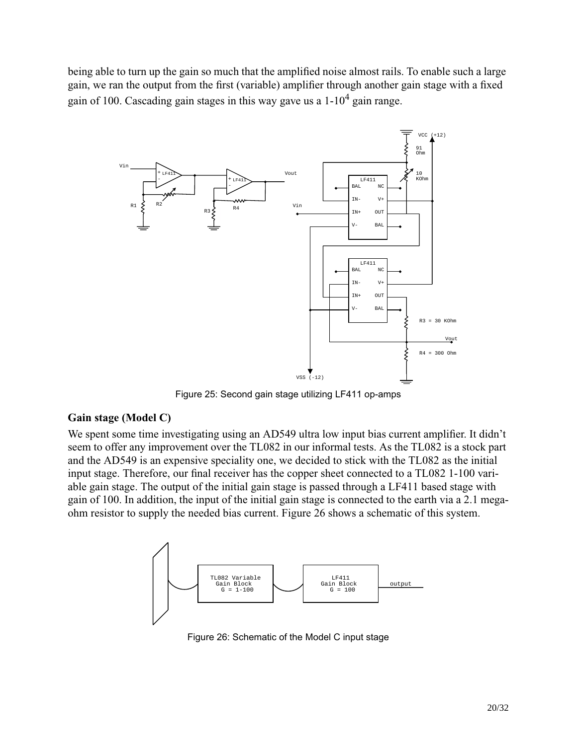being able to turn up the gain so much that the amplified noise almost rails. To enable such a large gain, we ran the output from the first (variable) amplifier through another gain stage with a fixed gain of 100. Cascading gain stages in this way gave us a  $1\times10^4$  gain range.



Figure 25: Second gain stage utilizing LF411 op-amps

#### **Gain stage (Model C)**

We spent some time investigating using an AD549 ultra low input bias current amplifier. It didn't seem to offer any improvement over the TL082 in our informal tests. As the TL082 is a stock part and the AD549 is an expensive speciality one, we decided to stick with the TL082 as the initial input stage. Therefore, our final receiver has the copper sheet connected to a TL082 1-100 variable gain stage. The output of the initial gain stage is passed through a LF411 based stage with gain of 100. In addition, the input of the initial gain stage is connected to the earth via a 2.1 megaohm resistor to supply the needed bias current. Figure 26 shows a schematic of this system.



Figure 26: Schematic of the Model C input stage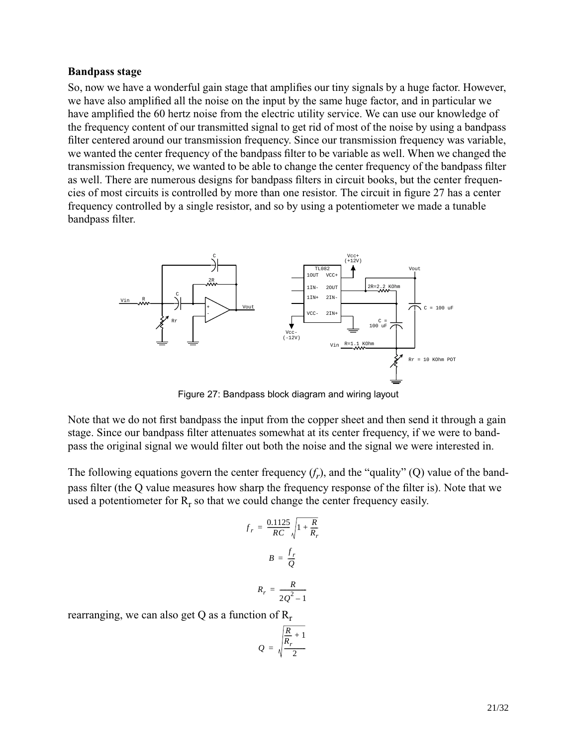#### **Bandpass stage**

So, now we have a wonderful gain stage that amplifies our tiny signals by a huge factor. However, we have also amplified all the noise on the input by the same huge factor, and in particular we have amplified the 60 hertz noise from the electric utility service. We can use our knowledge of the frequency content of our transmitted signal to get rid of most of the noise by using a bandpass filter centered around our transmission frequency. Since our transmission frequency was variable, we wanted the center frequency of the bandpass filter to be variable as well. When we changed the transmission frequency, we wanted to be able to change the center frequency of the bandpass filter as well. There are numerous designs for bandpass filters in circuit books, but the center frequencies of most circuits is controlled by more than one resistor. The circuit in figure 27 has a center frequency controlled by a single resistor, and so by using a potentiometer we made a tunable bandpass filter.



Figure 27: Bandpass block diagram and wiring layout

Note that we do not first bandpass the input from the copper sheet and then send it through a gain stage. Since our bandpass filter attenuates somewhat at its center frequency, if we were to bandpass the original signal we would filter out both the noise and the signal we were interested in.

The following equations govern the center frequency  $(f_r)$ , and the "quality" (Q) value of the bandpass filter (the Q value measures how sharp the frequency response of the filter is). Note that we used a potentiometer for  $R_r$  so that we could change the center frequency easily.

$$
f_r = \frac{0.1125}{RC} \sqrt{1 + \frac{R}{R_r}}
$$

$$
B = \frac{f_r}{Q}
$$

$$
R_r = \frac{R}{2Q^2 - 1}
$$

rearranging, we can also get Q as a function of  $R_r$ 

$$
Q = \sqrt{\frac{\frac{R}{R_r} + 1}{2}}
$$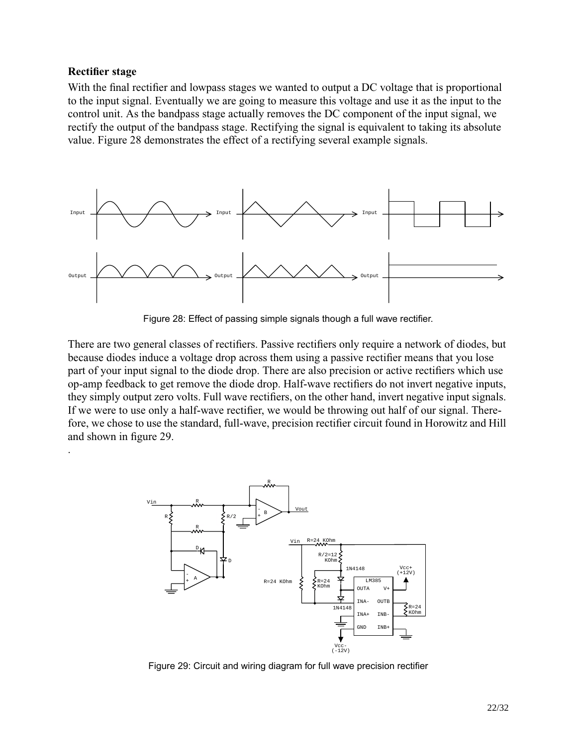#### **Rectifier stage**

.

With the final rectifier and lowpass stages we wanted to output a DC voltage that is proportional to the input signal. Eventually we are going to measure this voltage and use it as the input to the control unit. As the bandpass stage actually removes the DC component of the input signal, we rectify the output of the bandpass stage. Rectifying the signal is equivalent to taking its absolute value. Figure 28 demonstrates the effect of a rectifying several example signals.



Figure 28: Effect of passing simple signals though a full wave rectifier.

There are two general classes of rectifiers. Passive rectifiers only require a network of diodes, but because diodes induce a voltage drop across them using a passive rectifier means that you lose part of your input signal to the diode drop. There are also precision or active rectifiers which use op-amp feedback to get remove the diode drop. Half-wave rectifiers do not invert negative inputs, they simply output zero volts. Full wave rectifiers, on the other hand, invert negative input signals. If we were to use only a half-wave rectifier, we would be throwing out half of our signal. Therefore, we chose to use the standard, full-wave, precision rectifier circuit found in Horowitz and Hill and shown in figure 29.



Figure 29: Circuit and wiring diagram for full wave precision rectifier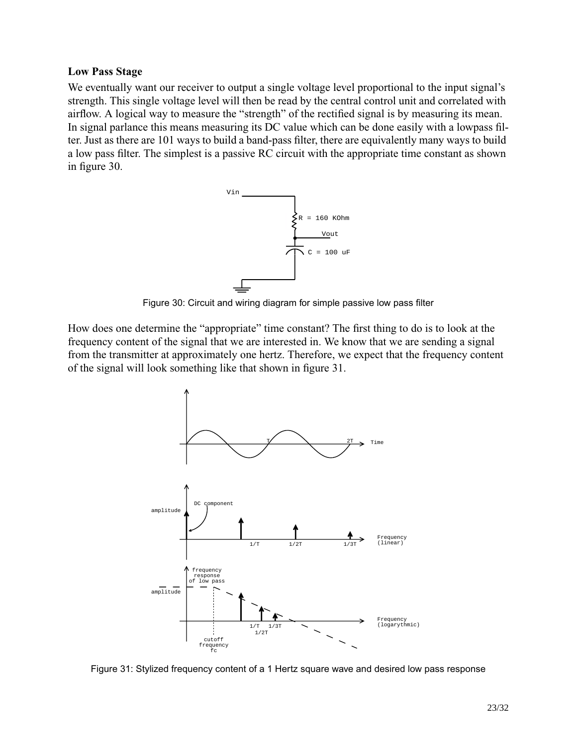#### **Low Pass Stage**

We eventually want our receiver to output a single voltage level proportional to the input signal's strength. This single voltage level will then be read by the central control unit and correlated with airflow. A logical way to measure the "strength" of the rectified signal is by measuring its mean. In signal parlance this means measuring its DC value which can be done easily with a lowpass filter. Just as there are 101 ways to build a band-pass filter, there are equivalently many ways to build a low pass filter. The simplest is a passive RC circuit with the appropriate time constant as shown in figure 30.



Figure 30: Circuit and wiring diagram for simple passive low pass filter

How does one determine the "appropriate" time constant? The first thing to do is to look at the frequency content of the signal that we are interested in. We know that we are sending a signal from the transmitter at approximately one hertz. Therefore, we expect that the frequency content of the signal will look something like that shown in figure 31.



Figure 31: Stylized frequency content of a 1 Hertz square wave and desired low pass response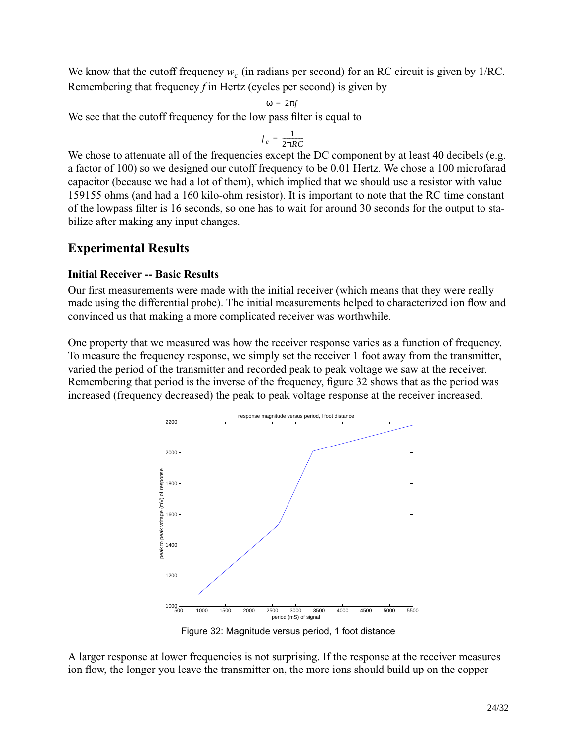We know that the cutoff frequency  $w_c$  (in radians per second) for an RC circuit is given by 1/RC. Remembering that frequency *f* in Hertz (cycles per second) is given by

$$
\omega = 2\pi f
$$

We see that the cutoff frequency for the low pass filter is equal to

$$
f_c = \frac{1}{2\pi RC}
$$

We chose to attenuate all of the frequencies except the DC component by at least 40 decibels (e.g. a factor of 100) so we designed our cutoff frequency to be 0.01 Hertz. We chose a 100 microfarad capacitor (because we had a lot of them), which implied that we should use a resistor with value 159155 ohms (and had a 160 kilo-ohm resistor). It is important to note that the RC time constant of the lowpass filter is 16 seconds, so one has to wait for around 30 seconds for the output to stabilize after making any input changes.

# **Experimental Results**

#### **Initial Receiver -- Basic Results**

Our first measurements were made with the initial receiver (which means that they were really made using the differential probe). The initial measurements helped to characterized ion flow and convinced us that making a more complicated receiver was worthwhile.

One property that we measured was how the receiver response varies as a function of frequency. To measure the frequency response, we simply set the receiver 1 foot away from the transmitter, varied the period of the transmitter and recorded peak to peak voltage we saw at the receiver. Remembering that period is the inverse of the frequency, figure 32 shows that as the period was increased (frequency decreased) the peak to peak voltage response at the receiver increased.



Figure 32: Magnitude versus period, 1 foot distance

A larger response at lower frequencies is not surprising. If the response at the receiver measures ion flow, the longer you leave the transmitter on, the more ions should build up on the copper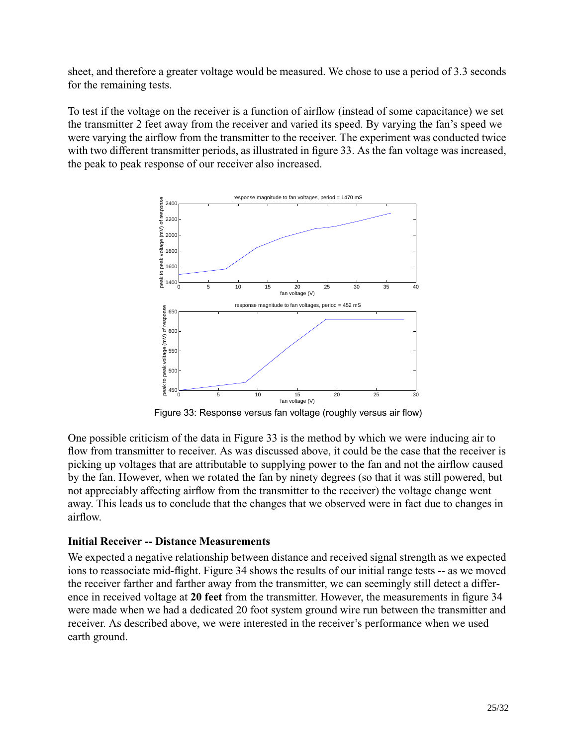sheet, and therefore a greater voltage would be measured. We chose to use a period of 3.3 seconds for the remaining tests.

To test if the voltage on the receiver is a function of airflow (instead of some capacitance) we set the transmitter 2 feet away from the receiver and varied its speed. By varying the fan's speed we were varying the airflow from the transmitter to the receiver. The experiment was conducted twice with two different transmitter periods, as illustrated in figure 33. As the fan voltage was increased, the peak to peak response of our receiver also increased.



Figure 33: Response versus fan voltage (roughly versus air flow)

One possible criticism of the data in Figure 33 is the method by which we were inducing air to flow from transmitter to receiver. As was discussed above, it could be the case that the receiver is picking up voltages that are attributable to supplying power to the fan and not the airflow caused by the fan. However, when we rotated the fan by ninety degrees (so that it was still powered, but not appreciably affecting airflow from the transmitter to the receiver) the voltage change went away. This leads us to conclude that the changes that we observed were in fact due to changes in airflow.

#### **Initial Receiver -- Distance Measurements**

We expected a negative relationship between distance and received signal strength as we expected ions to reassociate mid-flight. Figure 34 shows the results of our initial range tests -- as we moved the receiver farther and farther away from the transmitter, we can seemingly still detect a difference in received voltage at **20 feet** from the transmitter. However, the measurements in figure 34 were made when we had a dedicated 20 foot system ground wire run between the transmitter and receiver. As described above, we were interested in the receiver's performance when we used earth ground.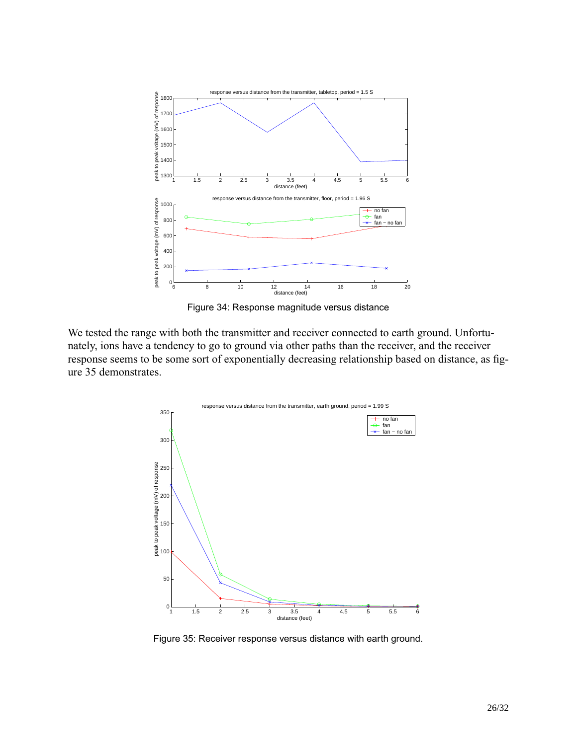

Figure 34: Response magnitude versus distance

We tested the range with both the transmitter and receiver connected to earth ground. Unfortunately, ions have a tendency to go to ground via other paths than the receiver, and the receiver response seems to be some sort of exponentially decreasing relationship based on distance, as figure 35 demonstrates.



Figure 35: Receiver response versus distance with earth ground.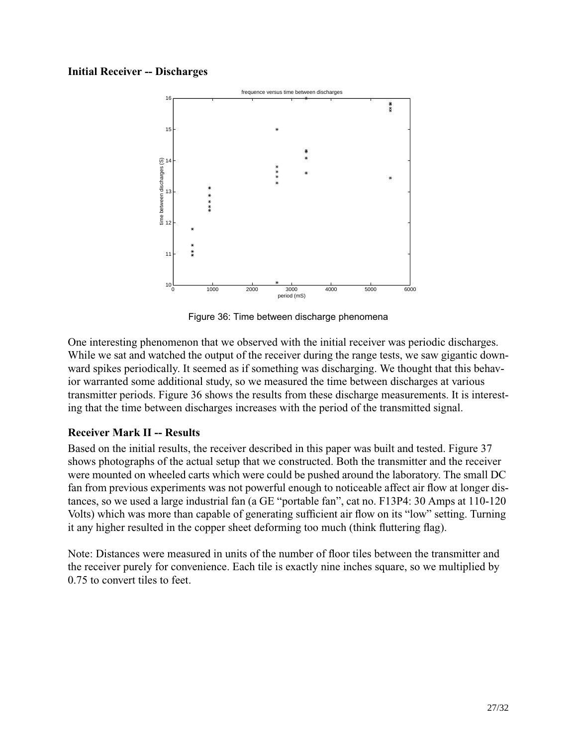#### **Initial Receiver -- Discharges**



Figure 36: Time between discharge phenomena

One interesting phenomenon that we observed with the initial receiver was periodic discharges. While we sat and watched the output of the receiver during the range tests, we saw gigantic downward spikes periodically. It seemed as if something was discharging. We thought that this behavior warranted some additional study, so we measured the time between discharges at various transmitter periods. Figure 36 shows the results from these discharge measurements. It is interesting that the time between discharges increases with the period of the transmitted signal.

# **Receiver Mark II -- Results**

Based on the initial results, the receiver described in this paper was built and tested. Figure 37 shows photographs of the actual setup that we constructed. Both the transmitter and the receiver were mounted on wheeled carts which were could be pushed around the laboratory. The small DC fan from previous experiments was not powerful enough to noticeable affect air flow at longer distances, so we used a large industrial fan (a GE "portable fan", cat no. F13P4: 30 Amps at 110-120 Volts) which was more than capable of generating sufficient air flow on its "low" setting. Turning it any higher resulted in the copper sheet deforming too much (think fluttering flag).

Note: Distances were measured in units of the number of floor tiles between the transmitter and the receiver purely for convenience. Each tile is exactly nine inches square, so we multiplied by 0.75 to convert tiles to feet.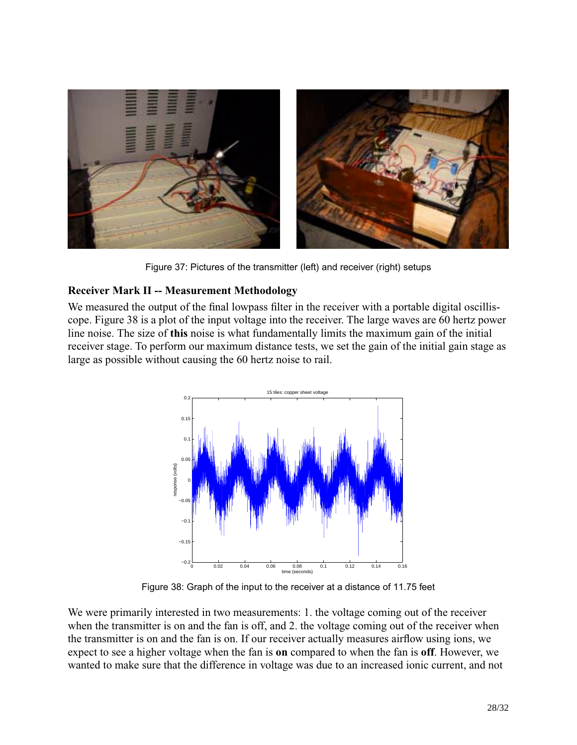

Figure 37: Pictures of the transmitter (left) and receiver (right) setups

# **Receiver Mark II -- Measurement Methodology**

We measured the output of the final lowpass filter in the receiver with a portable digital oscilliscope. Figure 38 is a plot of the input voltage into the receiver. The large waves are 60 hertz power line noise. The size of **this** noise is what fundamentally limits the maximum gain of the initial receiver stage. To perform our maximum distance tests, we set the gain of the initial gain stage as large as possible without causing the 60 hertz noise to rail.



Figure 38: Graph of the input to the receiver at a distance of 11.75 feet

We were primarily interested in two measurements: 1. the voltage coming out of the receiver when the transmitter is on and the fan is off, and 2. the voltage coming out of the receiver when the transmitter is on and the fan is on. If our receiver actually measures airflow using ions, we expect to see a higher voltage when the fan is **on** compared to when the fan is **off**. However, we wanted to make sure that the difference in voltage was due to an increased ionic current, and not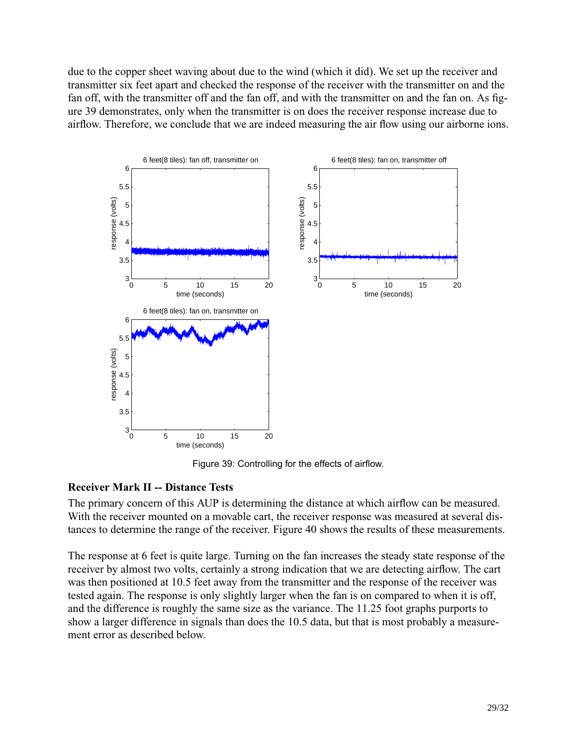due to the copper sheet waving about due to the wind (which it did). We set up the receiver and transmitter six feet apart and checked the response of the receiver with the transmitter on and the fan off, with the transmitter off and the fan off, and with the transmitter on and the fan on. As figure 39 demonstrates, only when the transmitter is on does the receiver response increase due to airflow. Therefore, we conclude that we are indeed measuring the air flow using our airborne ions.



Figure 39: Controlling for the effects of airflow.

#### **Receiver Mark II -- Distance Tests**

The primary concern of this AUP is determining the distance at which airflow can be measured. With the receiver mounted on a movable cart, the receiver response was measured at several distances to determine the range of the receiver. Figure 40 shows the results of these measurements.

The response at 6 feet is quite large. Turning on the fan increases the steady state response of the receiver by almost two volts, certainly a strong indication that we are detecting airflow. The cart was then positioned at 10.5 feet away from the transmitter and the response of the receiver was tested again. The response is only slightly larger when the fan is on compared to when it is off, and the difference is roughly the same size as the variance. The 11.25 foot graphs purports to show a larger difference in signals than does the 10.5 data, but that is most probably a measurement error as described below.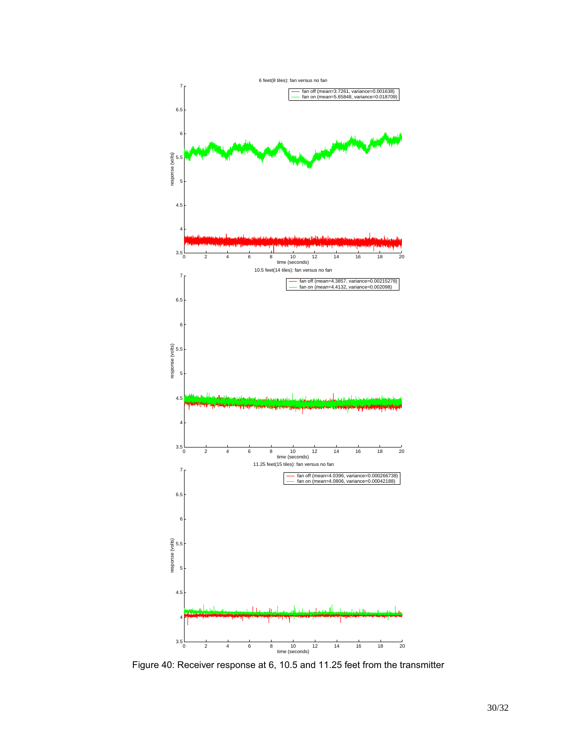

Figure 40: Receiver response at 6, 10.5 and 11.25 feet from the transmitter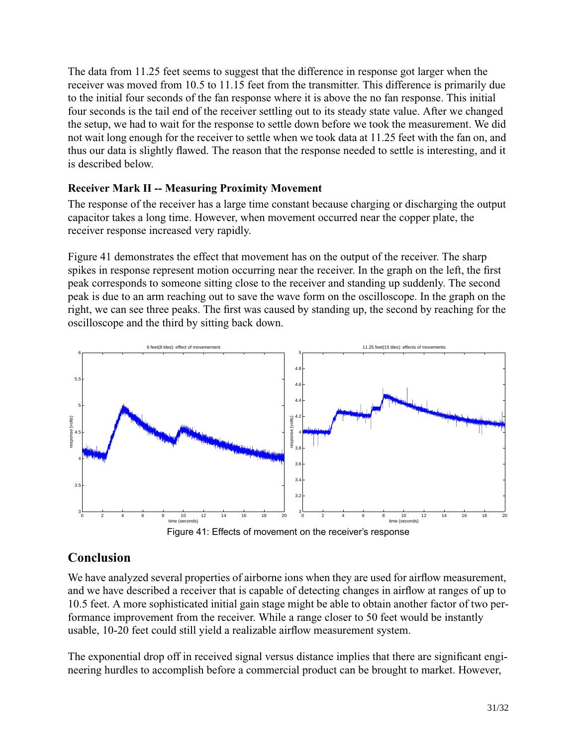The data from 11.25 feet seems to suggest that the difference in response got larger when the receiver was moved from 10.5 to 11.15 feet from the transmitter. This difference is primarily due to the initial four seconds of the fan response where it is above the no fan response. This initial four seconds is the tail end of the receiver settling out to its steady state value. After we changed the setup, we had to wait for the response to settle down before we took the measurement. We did not wait long enough for the receiver to settle when we took data at 11.25 feet with the fan on, and thus our data is slightly flawed. The reason that the response needed to settle is interesting, and it is described below.

# **Receiver Mark II -- Measuring Proximity Movement**

The response of the receiver has a large time constant because charging or discharging the output capacitor takes a long time. However, when movement occurred near the copper plate, the receiver response increased very rapidly.

Figure 41 demonstrates the effect that movement has on the output of the receiver. The sharp spikes in response represent motion occurring near the receiver. In the graph on the left, the first peak corresponds to someone sitting close to the receiver and standing up suddenly. The second peak is due to an arm reaching out to save the wave form on the oscilloscope. In the graph on the right, we can see three peaks. The first was caused by standing up, the second by reaching for the oscilloscope and the third by sitting back down.



# **Conclusion**

We have analyzed several properties of airborne ions when they are used for airflow measurement, and we have described a receiver that is capable of detecting changes in airflow at ranges of up to 10.5 feet. A more sophisticated initial gain stage might be able to obtain another factor of two performance improvement from the receiver. While a range closer to 50 feet would be instantly usable, 10-20 feet could still yield a realizable airflow measurement system.

The exponential drop off in received signal versus distance implies that there are significant engineering hurdles to accomplish before a commercial product can be brought to market. However,